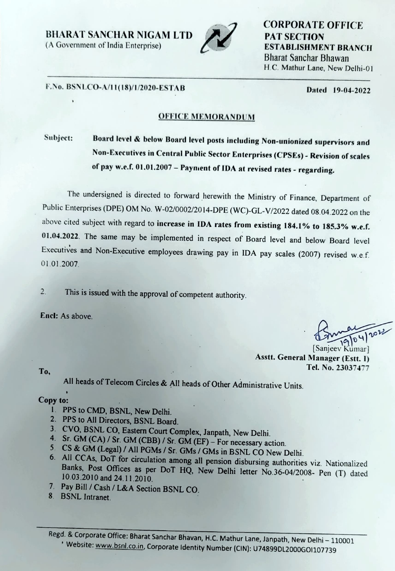BHARAT SANCHAR NIGAM LTD PAT SECTION



CORPORATE OFFICE (A Government of India Enterprise) ESTABLISHMENT BRANCH Bharat Sanchar Bhawan H.C. Mathur Lane, New Delhi-01

## Dated 19-04-2022 F.No. BSNLCO-A/1I(18)/1/2020-ESTAB

### OFFICE MEMORANDUM

# Subject: Board level & below Board level posts including Non-unionized supervisors and Non-Executives in Central Public Sector Enterprises (CPSEs) - Revision of scales of pay w.e.f. 01.01.2007 - Payment of IDA at revised rates - regarding.

The undersigned is directed to forward herewith the Ministry of Finance, Department of Public Enterprises (DPE) OM No. W-02/0002/2014-DPE (WC)-GL-V/2022 dated 08.04.2022 on the above cited subject with regard to increase in IDA rates from existing 184.1% to 185.3% w.e.f. 01.04.2022. The same may be implemented in respect of Board level and below Board level Executives and Non-Executive employees drawing pay in IDA pay scales (2007) revised w.e.f. 01.01.2007.

2 This is issued with the approval of competent authority.

Encl: AS above.

[Sanjeev Kümar] Asstt. General Manager (Estt. ) Tel. No. 23037477 To,

All heads of Telecom Circles & AIl heads of Other Administrative Units.

#### Copy to:

- 
- 
- 1. PPS to CMD, BSNL, New Delhi.<br>2. PPS to All Directors, BSNL Board.<br>3. CVO, BSNL CO, Eastern Court Complex, Janpath, New Delhi.
- 
- 5 CS & GM (Legal) / All PGMs / Sr. GMs / GMs in BSNL CO New Delhi.
- 4. Sr. GM (CA) / Sr. GM (CBB) / Sr. GM (EF) For necessary action.<br>5. CS & GM (Legal) / All PGMs / Sr. GMs / GMs in BSNL CO New Delhi.<br>6. All CCAs, DoT for circulation among all pension disbursing authorities viz. Nationa
- 7. Pay Bill / Cash/ L&A Section BSNL CO.
- 8. BSNL Intranet.

Regd. & Corporate Office: Bharat Sanchar Bhavan, H.C. Mathur Lane, Janpath, New Delhi - 110001 <sup>1</sup> Website: www.bsnl.co.in, Corporate Identity Number (CIN): U74899DL2000GOI107739